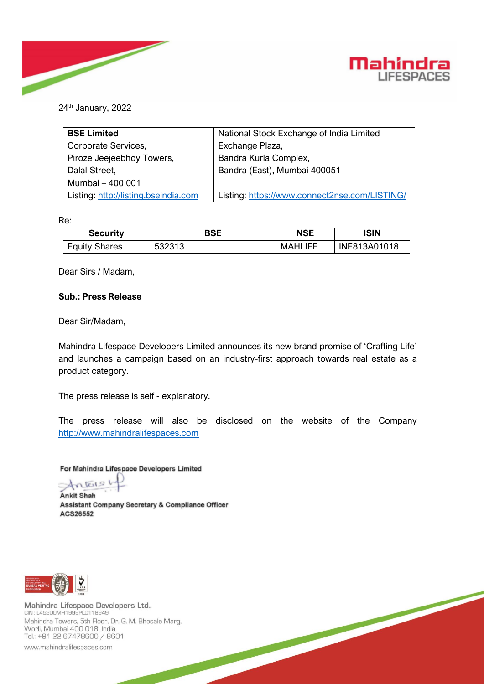



24<sup>th</sup> January, 2022

| <b>BSE Limited</b>                   | National Stock Exchange of India Limited      |  |  |
|--------------------------------------|-----------------------------------------------|--|--|
| Corporate Services,                  | Exchange Plaza,                               |  |  |
| Piroze Jeejeebhoy Towers,            | Bandra Kurla Complex,                         |  |  |
| Dalal Street,                        | Bandra (East), Mumbai 400051                  |  |  |
| Mumbai - 400 001                     |                                               |  |  |
| Listing: http://listing.bseindia.com | Listing: https://www.connect2nse.com/LISTING/ |  |  |

Re:

| <b>Security</b>      | BSE    | <b>NSE</b>     | <b>ISIN</b>  |
|----------------------|--------|----------------|--------------|
| <b>Equity Shares</b> | 532313 | <b>MAHLIFE</b> | INE813A01018 |

Dear Sirs / Madam,

# **Sub.: Press Release**

Dear Sir/Madam,

Mahindra Lifespace Developers Limited announces its new brand promise of 'Crafting Life' and launches a campaign based on an industry-first approach towards real estate as a product category.

The press release is self - explanatory.

The press release will also be disclosed on the website of the Company [http://www.mahindralifespaces.com](http://www.mahindralifespaces.com/)

For Mahindra Lifespace Developers Limited

Antaise **Ankit Shah** 

Assistant Company Secretary & Compliance Officer ACS26552



Mahindra Lifespace Developers Ltd. CIN: L45200MH1999PLC118949 Mahindra Towers, 5th Floor, Dr. G. M. Bhosale Marg, Worli, Mumbai 400 018, India Tel.: +91 22 67478600 / 8601

www.mahindralifespaces.com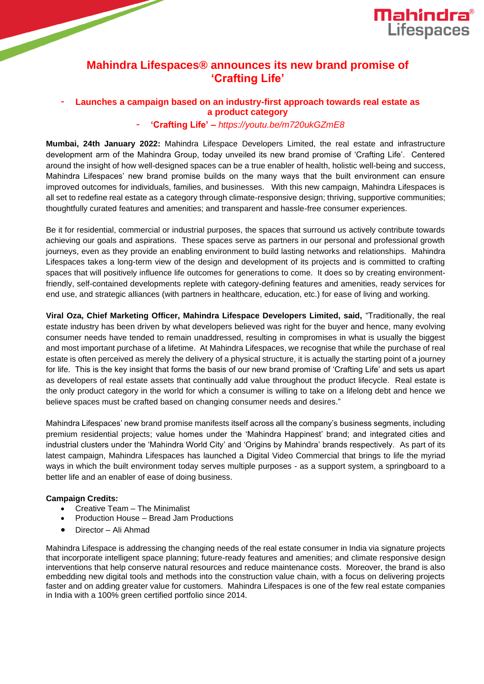

# **Mahindra Lifespaces® announces its new brand promise of 'Crafting Life'**

# - **Launches a campaign based on an industry-first approach towards real estate as a product category**

# - **'Crafting Life' –** *https://youtu.be/m720ukGZmE8*

**Mumbai, 24th January 2022:** Mahindra Lifespace Developers Limited, the real estate and infrastructure development arm of the Mahindra Group, today unveiled its new brand promise of 'Crafting Life'. Centered around the insight of how well-designed spaces can be a true enabler of health, holistic well-being and success, Mahindra Lifespaces' new brand promise builds on the many ways that the built environment can ensure improved outcomes for individuals, families, and businesses. With this new campaign, Mahindra Lifespaces is all set to redefine real estate as a category through climate-responsive design; thriving, supportive communities; thoughtfully curated features and amenities; and transparent and hassle-free consumer experiences.

Be it for residential, commercial or industrial purposes, the spaces that surround us actively contribute towards achieving our goals and aspirations. These spaces serve as partners in our personal and professional growth journeys, even as they provide an enabling environment to build lasting networks and relationships. Mahindra Lifespaces takes a long-term view of the design and development of its projects and is committed to crafting spaces that will positively influence life outcomes for generations to come. It does so by creating environmentfriendly, self-contained developments replete with category-defining features and amenities, ready services for end use, and strategic alliances (with partners in healthcare, education, etc.) for ease of living and working.

**Viral Oza, Chief Marketing Officer, Mahindra Lifespace Developers Limited, said,** "Traditionally, the real estate industry has been driven by what developers believed was right for the buyer and hence, many evolving consumer needs have tended to remain unaddressed, resulting in compromises in what is usually the biggest and most important purchase of a lifetime. At Mahindra Lifespaces, we recognise that while the purchase of real estate is often perceived as merely the delivery of a physical structure, it is actually the starting point of a journey for life. This is the key insight that forms the basis of our new brand promise of 'Crafting Life' and sets us apart as developers of real estate assets that continually add value throughout the product lifecycle. Real estate is the only product category in the world for which a consumer is willing to take on a lifelong debt and hence we believe spaces must be crafted based on changing consumer needs and desires."

Mahindra Lifespaces' new brand promise manifests itself across all the company's business segments, including premium residential projects; value homes under the 'Mahindra Happinest' brand; and integrated cities and industrial clusters under the 'Mahindra World City' and 'Origins by Mahindra' brands respectively. As part of its latest campaign, Mahindra Lifespaces has launched a Digital Video Commercial that brings to life the myriad ways in which the built environment today serves multiple purposes - as a support system, a springboard to a better life and an enabler of ease of doing business.

## **Campaign Credits:**

- Creative Team The Minimalist
- Production House Bread Jam Productions
- Director Ali Ahmad

Mahindra Lifespace is addressing the changing needs of the real estate consumer in India via signature projects that incorporate intelligent space planning; future-ready features and amenities; and climate responsive design interventions that help conserve natural resources and reduce maintenance costs. Moreover, the brand is also embedding new digital tools and methods into the construction value chain, with a focus on delivering projects faster and on adding greater value for customers. Mahindra Lifespaces is one of the few real estate companies in India with a 100% green certified portfolio since 2014.